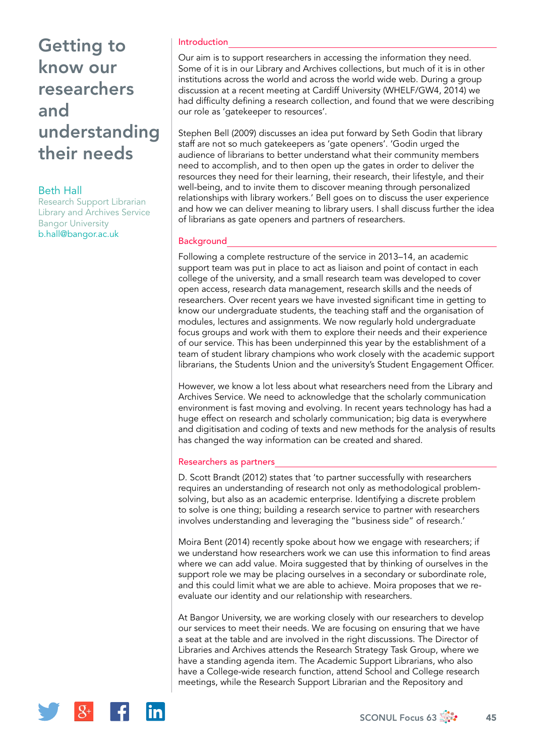# Getting to know our researchers and understanding their needs

Beth Hall

Research Support Librarian Library and Archives Service Bangor University [b.hall@bangor.ac.uk](mailto:b.hall@bangor.ac.uk)

### Introduction

Our aim is to support researchers in accessing the information they need. Some of it is in our Library and Archives collections, but much of it is in other institutions across the world and across the world wide web. During a group discussion at a recent meeting at Cardiff University (WHELF/GW4, 2014) we had difficulty defining a research collection, and found that we were describing our role as 'gatekeeper to resources'.

Stephen Bell (2009) discusses an idea put forward by Seth Godin that library staff are not so much gatekeepers as 'gate openers'. 'Godin urged the audience of librarians to better understand what their community members need to accomplish, and to then open up the gates in order to deliver the resources they need for their learning, their research, their lifestyle, and their well-being, and to invite them to discover meaning through personalized relationships with library workers.' Bell goes on to discuss the user experience and how we can deliver meaning to library users. I shall discuss further the idea of librarians as gate openers and partners of researchers.

### **Background**

Following a complete restructure of the service in 2013–14, an academic support team was put in place to act as liaison and point of contact in each college of the university, and a small research team was developed to cover open access, research data management, research skills and the needs of researchers. Over recent years we have invested significant time in getting to know our undergraduate students, the teaching staff and the organisation of modules, lectures and assignments. We now regularly hold undergraduate focus groups and work with them to explore their needs and their experience of our service. This has been underpinned this year by the establishment of a team of student library champions who work closely with the academic support librarians, the Students Union and the university's Student Engagement Officer.

However, we know a lot less about what researchers need from the Library and Archives Service. We need to acknowledge that the scholarly communication environment is fast moving and evolving. In recent years technology has had a huge effect on research and scholarly communication; big data is everywhere and digitisation and coding of texts and new methods for the analysis of results has changed the way information can be created and shared.

### Researchers as partners

D. Scott Brandt (2012) states that 'to partner successfully with researchers requires an understanding of research not only as methodological problemsolving, but also as an academic enterprise. Identifying a discrete problem to solve is one thing; building a research service to partner with researchers involves understanding and leveraging the "business side" of research.'

Moira Bent (2014) recently spoke about how we engage with researchers; if we understand how researchers work we can use this information to find areas where we can add value. Moira suggested that by thinking of ourselves in the support role we may be placing ourselves in a secondary or subordinate role, and this could limit what we are able to achieve. Moira proposes that we reevaluate our identity and our relationship with researchers.

At Bangor University, we are working closely with our researchers to develop our services to meet their needs. We are focusing on ensuring that we have a seat at the table and are involved in the right discussions. The Director of Libraries and Archives attends the Research Strategy Task Group, where we have a standing agenda item. The Academic Support Librarians, who also have a College-wide research function, attend School and College research meetings, while the Research Support Librarian and the Repository and

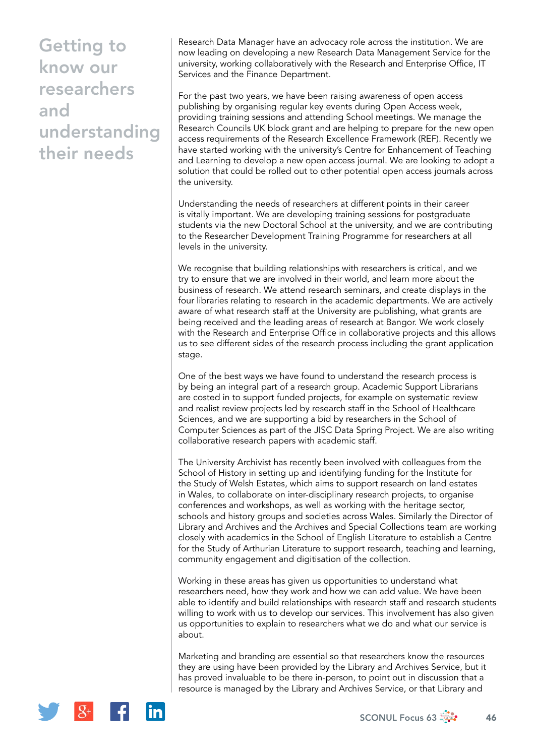# Getting to know our researchers and understanding their needs

Research Data Manager have an advocacy role across the institution. We are now leading on developing a new Research Data Management Service for the university, working collaboratively with the Research and Enterprise Office, IT Services and the Finance Department.

For the past two years, we have been raising awareness of open access publishing by organising regular key events during Open Access week, providing training sessions and attending School meetings. We manage the Research Councils UK block grant and are helping to prepare for the new open access requirements of the Research Excellence Framework (REF). Recently we have started working with the university's Centre for Enhancement of Teaching and Learning to develop a new open access journal. We are looking to adopt a solution that could be rolled out to other potential open access journals across the university.

Understanding the needs of researchers at different points in their career is vitally important. We are developing training sessions for postgraduate students via the new Doctoral School at the university, and we are contributing to the Researcher Development Training Programme for researchers at all levels in the university.

We recognise that building relationships with researchers is critical, and we try to ensure that we are involved in their world, and learn more about the business of research. We attend research seminars, and create displays in the four libraries relating to research in the academic departments. We are actively aware of what research staff at the University are publishing, what grants are being received and the leading areas of research at Bangor. We work closely with the Research and Enterprise Office in collaborative projects and this allows us to see different sides of the research process including the grant application stage.

One of the best ways we have found to understand the research process is by being an integral part of a research group. Academic Support Librarians are costed in to support funded projects, for example on systematic review and realist review projects led by research staff in the School of Healthcare Sciences, and we are supporting a bid by researchers in the School of Computer Sciences as part of the JISC Data Spring Project. We are also writing collaborative research papers with academic staff.

The University Archivist has recently been involved with colleagues from the School of History in setting up and identifying funding for the Institute for the Study of Welsh Estates, which aims to support research on land estates in Wales, to collaborate on inter-disciplinary research projects, to organise conferences and workshops, as well as working with the heritage sector, schools and history groups and societies across Wales. Similarly the Director of Library and Archives and the Archives and Special Collections team are working closely with academics in the School of English Literature to establish a Centre for the Study of Arthurian Literature to support research, teaching and learning, community engagement and digitisation of the collection.

Working in these areas has given us opportunities to understand what researchers need, how they work and how we can add value. We have been able to identify and build relationships with research staff and research students willing to work with us to develop our services. This involvement has also given us opportunities to explain to researchers what we do and what our service is about.

Marketing and branding are essential so that researchers know the resources they are using have been provided by the Library and Archives Service, but it has proved invaluable to be there in-person, to point out in discussion that a resource is managed by the Library and Archives Service, or that Library and